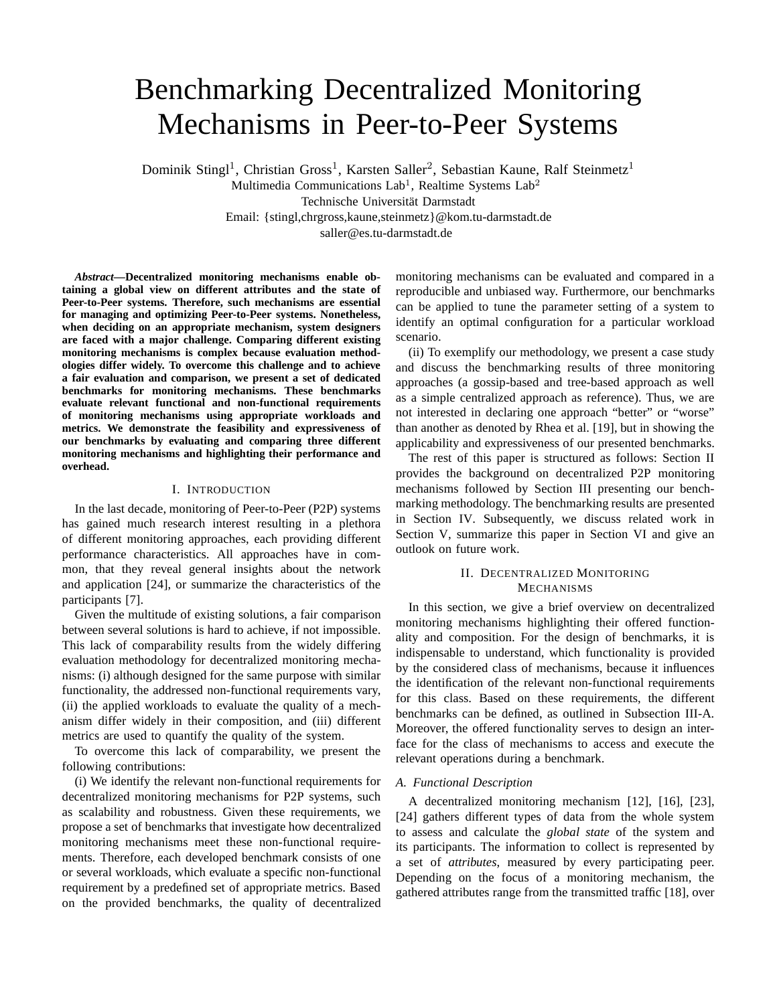# Benchmarking Decentralized Monitoring Mechanisms in Peer-to-Peer Systems

Dominik Stingl<sup>1</sup>, Christian Gross<sup>1</sup>, Karsten Saller<sup>2</sup>, Sebastian Kaune, Ralf Steinmetz<sup>1</sup>

Multimedia Communications  $Lab<sup>1</sup>$ , Realtime Systems  $Lab<sup>2</sup>$ 

Technische Universität Darmstadt

Email: {stingl,chrgross,kaune,steinmetz}@kom.tu-darmstadt.de

saller@es.tu-darmstadt.de

*Abstract***—Decentralized monitoring mechanisms enable obtaining a global view on different attributes and the state of Peer-to-Peer systems. Therefore, such mechanisms are essential for managing and optimizing Peer-to-Peer systems. Nonetheless, when deciding on an appropriate mechanism, system designers are faced with a major challenge. Comparing different existing monitoring mechanisms is complex because evaluation methodologies differ widely. To overcome this challenge and to achieve a fair evaluation and comparison, we present a set of dedicated benchmarks for monitoring mechanisms. These benchmarks evaluate relevant functional and non-functional requirements of monitoring mechanisms using appropriate workloads and metrics. We demonstrate the feasibility and expressiveness of our benchmarks by evaluating and comparing three different monitoring mechanisms and highlighting their performance and overhead.**

## I. INTRODUCTION

In the last decade, monitoring of Peer-to-Peer (P2P) systems has gained much research interest resulting in a plethora of different monitoring approaches, each providing different performance characteristics. All approaches have in common, that they reveal general insights about the network and application [24], or summarize the characteristics of the participants [7].

Given the multitude of existing solutions, a fair comparison between several solutions is hard to achieve, if not impossible. This lack of comparability results from the widely differing evaluation methodology for decentralized monitoring mechanisms: (i) although designed for the same purpose with similar functionality, the addressed non-functional requirements vary, (ii) the applied workloads to evaluate the quality of a mechanism differ widely in their composition, and (iii) different metrics are used to quantify the quality of the system.

To overcome this lack of comparability, we present the following contributions:

(i) We identify the relevant non-functional requirements for decentralized monitoring mechanisms for P2P systems, such as scalability and robustness. Given these requirements, we propose a set of benchmarks that investigate how decentralized monitoring mechanisms meet these non-functional requirements. Therefore, each developed benchmark consists of one or several workloads, which evaluate a specific non-functional requirement by a predefined set of appropriate metrics. Based on the provided benchmarks, the quality of decentralized

monitoring mechanisms can be evaluated and compared in a reproducible and unbiased way. Furthermore, our benchmarks can be applied to tune the parameter setting of a system to identify an optimal configuration for a particular workload scenario.

(ii) To exemplify our methodology, we present a case study and discuss the benchmarking results of three monitoring approaches (a gossip-based and tree-based approach as well as a simple centralized approach as reference). Thus, we are not interested in declaring one approach "better" or "worse" than another as denoted by Rhea et al. [19], but in showing the applicability and expressiveness of our presented benchmarks.

The rest of this paper is structured as follows: Section II provides the background on decentralized P2P monitoring mechanisms followed by Section III presenting our benchmarking methodology. The benchmarking results are presented in Section IV. Subsequently, we discuss related work in Section V, summarize this paper in Section VI and give an outlook on future work.

# II. DECENTRALIZED MONITORING MECHANISMS

In this section, we give a brief overview on decentralized monitoring mechanisms highlighting their offered functionality and composition. For the design of benchmarks, it is indispensable to understand, which functionality is provided by the considered class of mechanisms, because it influences the identification of the relevant non-functional requirements for this class. Based on these requirements, the different benchmarks can be defined, as outlined in Subsection III-A. Moreover, the offered functionality serves to design an interface for the class of mechanisms to access and execute the relevant operations during a benchmark.

# *A. Functional Description*

A decentralized monitoring mechanism [12], [16], [23], [24] gathers different types of data from the whole system to assess and calculate the *global state* of the system and its participants. The information to collect is represented by a set of *attributes*, measured by every participating peer. Depending on the focus of a monitoring mechanism, the gathered attributes range from the transmitted traffic [18], over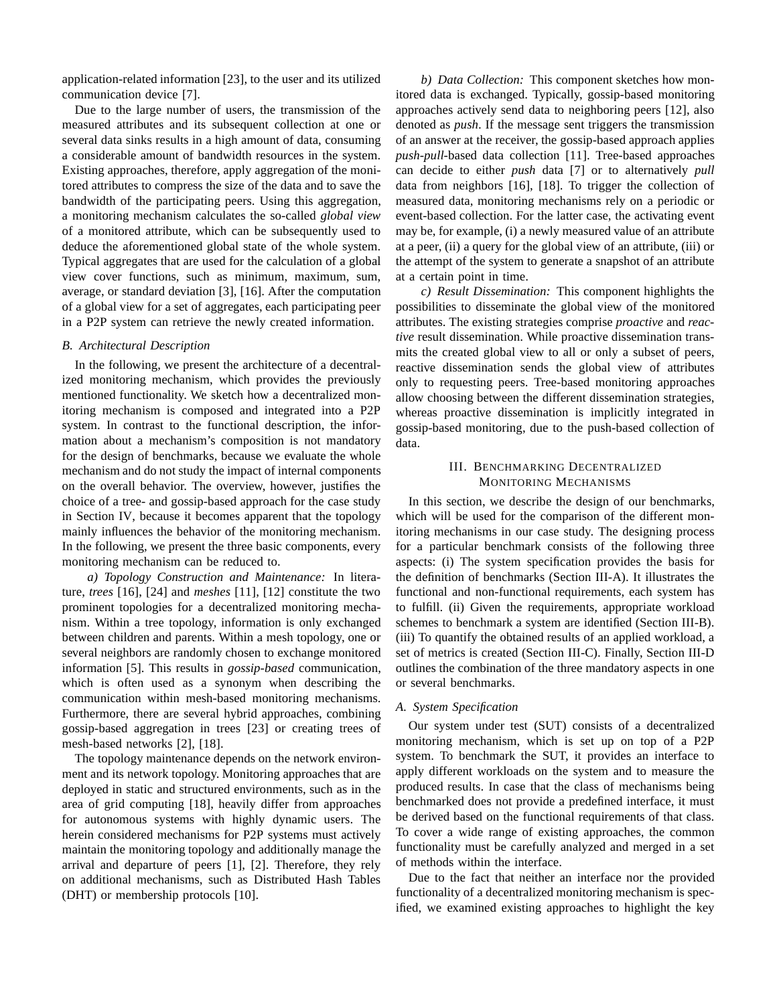application-related information [23], to the user and its utilized communication device [7].

Due to the large number of users, the transmission of the measured attributes and its subsequent collection at one or several data sinks results in a high amount of data, consuming a considerable amount of bandwidth resources in the system. Existing approaches, therefore, apply aggregation of the monitored attributes to compress the size of the data and to save the bandwidth of the participating peers. Using this aggregation, a monitoring mechanism calculates the so-called *global view* of a monitored attribute, which can be subsequently used to deduce the aforementioned global state of the whole system. Typical aggregates that are used for the calculation of a global view cover functions, such as minimum, maximum, sum, average, or standard deviation [3], [16]. After the computation of a global view for a set of aggregates, each participating peer in a P2P system can retrieve the newly created information.

#### *B. Architectural Description*

In the following, we present the architecture of a decentralized monitoring mechanism, which provides the previously mentioned functionality. We sketch how a decentralized monitoring mechanism is composed and integrated into a P2P system. In contrast to the functional description, the information about a mechanism's composition is not mandatory for the design of benchmarks, because we evaluate the whole mechanism and do not study the impact of internal components on the overall behavior. The overview, however, justifies the choice of a tree- and gossip-based approach for the case study in Section IV, because it becomes apparent that the topology mainly influences the behavior of the monitoring mechanism. In the following, we present the three basic components, every monitoring mechanism can be reduced to.

*a) Topology Construction and Maintenance:* In literature, *trees* [16], [24] and *meshes* [11], [12] constitute the two prominent topologies for a decentralized monitoring mechanism. Within a tree topology, information is only exchanged between children and parents. Within a mesh topology, one or several neighbors are randomly chosen to exchange monitored information [5]. This results in *gossip-based* communication, which is often used as a synonym when describing the communication within mesh-based monitoring mechanisms. Furthermore, there are several hybrid approaches, combining gossip-based aggregation in trees [23] or creating trees of mesh-based networks [2], [18].

The topology maintenance depends on the network environment and its network topology. Monitoring approaches that are deployed in static and structured environments, such as in the area of grid computing [18], heavily differ from approaches for autonomous systems with highly dynamic users. The herein considered mechanisms for P2P systems must actively maintain the monitoring topology and additionally manage the arrival and departure of peers [1], [2]. Therefore, they rely on additional mechanisms, such as Distributed Hash Tables (DHT) or membership protocols [10].

*b) Data Collection:* This component sketches how monitored data is exchanged. Typically, gossip-based monitoring approaches actively send data to neighboring peers [12], also denoted as *push*. If the message sent triggers the transmission of an answer at the receiver, the gossip-based approach applies *push-pull*-based data collection [11]. Tree-based approaches can decide to either *push* data [7] or to alternatively *pull* data from neighbors [16], [18]. To trigger the collection of measured data, monitoring mechanisms rely on a periodic or event-based collection. For the latter case, the activating event may be, for example, (i) a newly measured value of an attribute at a peer, (ii) a query for the global view of an attribute, (iii) or the attempt of the system to generate a snapshot of an attribute at a certain point in time.

*c) Result Dissemination:* This component highlights the possibilities to disseminate the global view of the monitored attributes. The existing strategies comprise *proactive* and *reactive* result dissemination. While proactive dissemination transmits the created global view to all or only a subset of peers, reactive dissemination sends the global view of attributes only to requesting peers. Tree-based monitoring approaches allow choosing between the different dissemination strategies, whereas proactive dissemination is implicitly integrated in gossip-based monitoring, due to the push-based collection of data.

# III. BENCHMARKING DECENTRALIZED MONITORING MECHANISMS

In this section, we describe the design of our benchmarks, which will be used for the comparison of the different monitoring mechanisms in our case study. The designing process for a particular benchmark consists of the following three aspects: (i) The system specification provides the basis for the definition of benchmarks (Section III-A). It illustrates the functional and non-functional requirements, each system has to fulfill. (ii) Given the requirements, appropriate workload schemes to benchmark a system are identified (Section III-B). (iii) To quantify the obtained results of an applied workload, a set of metrics is created (Section III-C). Finally, Section III-D outlines the combination of the three mandatory aspects in one or several benchmarks.

#### *A. System Specification*

Our system under test (SUT) consists of a decentralized monitoring mechanism, which is set up on top of a P2P system. To benchmark the SUT, it provides an interface to apply different workloads on the system and to measure the produced results. In case that the class of mechanisms being benchmarked does not provide a predefined interface, it must be derived based on the functional requirements of that class. To cover a wide range of existing approaches, the common functionality must be carefully analyzed and merged in a set of methods within the interface.

Due to the fact that neither an interface nor the provided functionality of a decentralized monitoring mechanism is specified, we examined existing approaches to highlight the key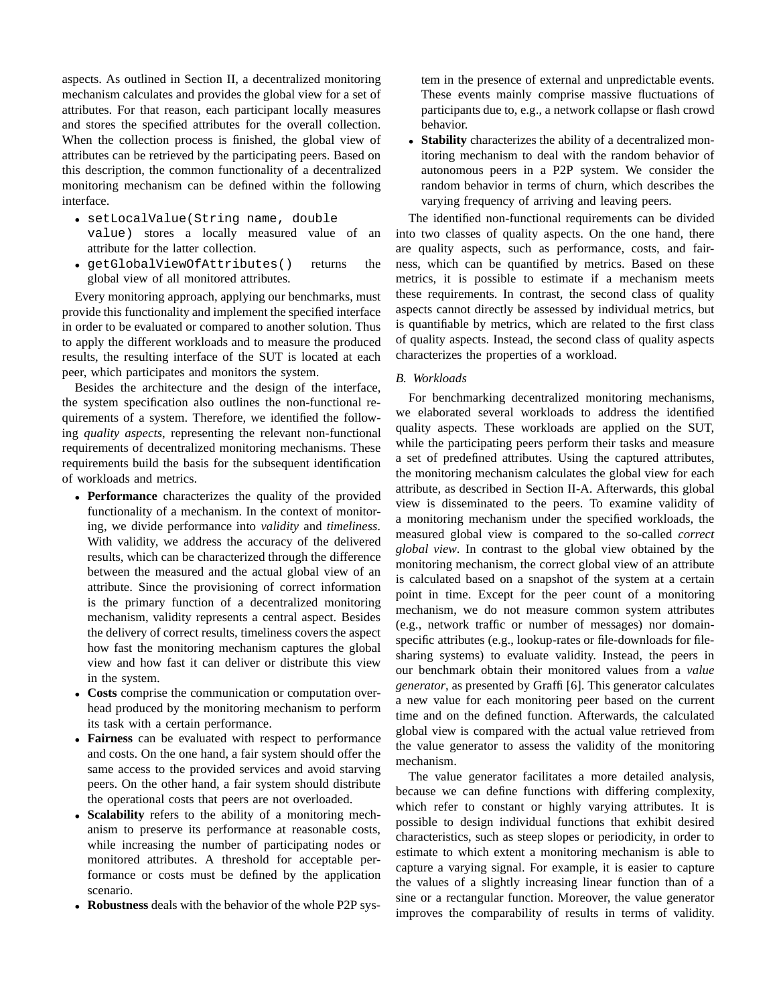aspects. As outlined in Section II, a decentralized monitoring mechanism calculates and provides the global view for a set of attributes. For that reason, each participant locally measures and stores the specified attributes for the overall collection. When the collection process is finished, the global view of attributes can be retrieved by the participating peers. Based on this description, the common functionality of a decentralized monitoring mechanism can be defined within the following interface.

- setLocalValue(String name, double value) stores a locally measured value of an attribute for the latter collection.
- getGlobalViewOfAttributes() returns the global view of all monitored attributes.

Every monitoring approach, applying our benchmarks, must provide this functionality and implement the specified interface in order to be evaluated or compared to another solution. Thus to apply the different workloads and to measure the produced results, the resulting interface of the SUT is located at each peer, which participates and monitors the system.

Besides the architecture and the design of the interface, the system specification also outlines the non-functional requirements of a system. Therefore, we identified the following *quality aspects*, representing the relevant non-functional requirements of decentralized monitoring mechanisms. These requirements build the basis for the subsequent identification of workloads and metrics.

- **Performance** characterizes the quality of the provided functionality of a mechanism. In the context of monitoring, we divide performance into *validity* and *timeliness*. With validity, we address the accuracy of the delivered results, which can be characterized through the difference between the measured and the actual global view of an attribute. Since the provisioning of correct information is the primary function of a decentralized monitoring mechanism, validity represents a central aspect. Besides the delivery of correct results, timeliness covers the aspect how fast the monitoring mechanism captures the global view and how fast it can deliver or distribute this view in the system.
- **Costs** comprise the communication or computation overhead produced by the monitoring mechanism to perform its task with a certain performance.
- **Fairness** can be evaluated with respect to performance and costs. On the one hand, a fair system should offer the same access to the provided services and avoid starving peers. On the other hand, a fair system should distribute the operational costs that peers are not overloaded.
- **Scalability** refers to the ability of a monitoring mechanism to preserve its performance at reasonable costs, while increasing the number of participating nodes or monitored attributes. A threshold for acceptable performance or costs must be defined by the application scenario.
- **Robustness** deals with the behavior of the whole P2P sys-

tem in the presence of external and unpredictable events. These events mainly comprise massive fluctuations of participants due to, e.g., a network collapse or flash crowd behavior.

• **Stability** characterizes the ability of a decentralized monitoring mechanism to deal with the random behavior of autonomous peers in a P2P system. We consider the random behavior in terms of churn, which describes the varying frequency of arriving and leaving peers.

The identified non-functional requirements can be divided into two classes of quality aspects. On the one hand, there are quality aspects, such as performance, costs, and fairness, which can be quantified by metrics. Based on these metrics, it is possible to estimate if a mechanism meets these requirements. In contrast, the second class of quality aspects cannot directly be assessed by individual metrics, but is quantifiable by metrics, which are related to the first class of quality aspects. Instead, the second class of quality aspects characterizes the properties of a workload.

## *B. Workloads*

For benchmarking decentralized monitoring mechanisms, we elaborated several workloads to address the identified quality aspects. These workloads are applied on the SUT, while the participating peers perform their tasks and measure a set of predefined attributes. Using the captured attributes, the monitoring mechanism calculates the global view for each attribute, as described in Section II-A. Afterwards, this global view is disseminated to the peers. To examine validity of a monitoring mechanism under the specified workloads, the measured global view is compared to the so-called *correct global view*. In contrast to the global view obtained by the monitoring mechanism, the correct global view of an attribute is calculated based on a snapshot of the system at a certain point in time. Except for the peer count of a monitoring mechanism, we do not measure common system attributes (e.g., network traffic or number of messages) nor domainspecific attributes (e.g., lookup-rates or file-downloads for filesharing systems) to evaluate validity. Instead, the peers in our benchmark obtain their monitored values from a *value generator*, as presented by Graffi [6]. This generator calculates a new value for each monitoring peer based on the current time and on the defined function. Afterwards, the calculated global view is compared with the actual value retrieved from the value generator to assess the validity of the monitoring mechanism.

The value generator facilitates a more detailed analysis, because we can define functions with differing complexity, which refer to constant or highly varying attributes. It is possible to design individual functions that exhibit desired characteristics, such as steep slopes or periodicity, in order to estimate to which extent a monitoring mechanism is able to capture a varying signal. For example, it is easier to capture the values of a slightly increasing linear function than of a sine or a rectangular function. Moreover, the value generator improves the comparability of results in terms of validity.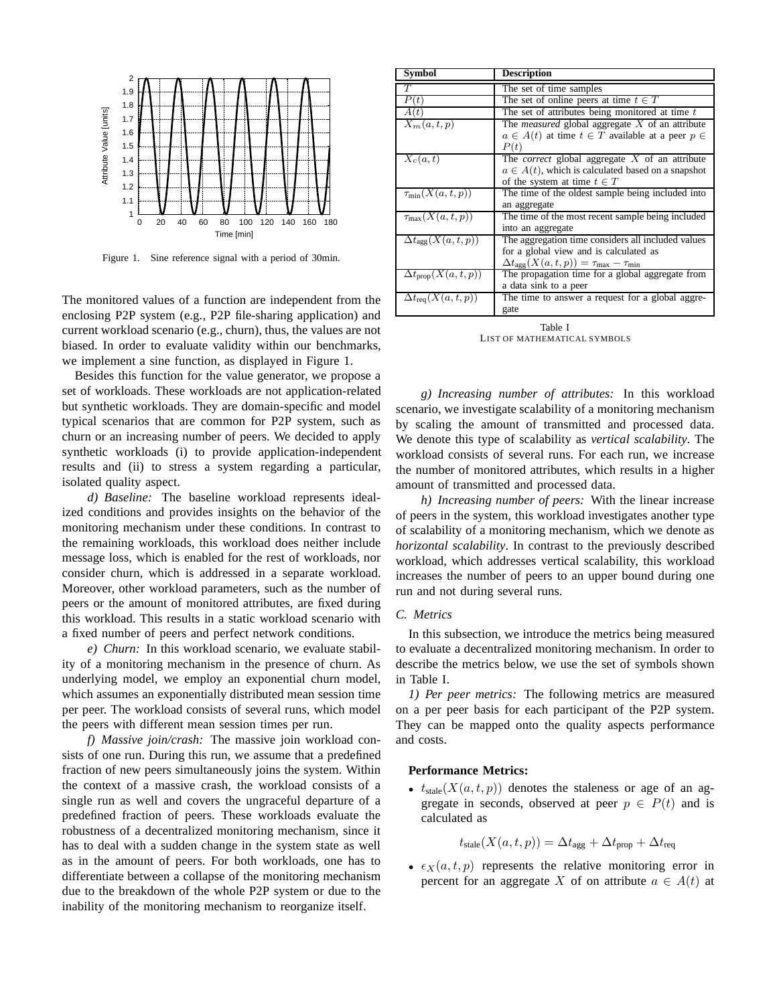

Figure 1. Sine reference signal with a period of 30min.

The monitored values of a function are independent from the enclosing P2P system (e.g., P2P file-sharing application) and current workload scenario (e.g., churn), thus, the values are not biased. In order to evaluate validity within our benchmarks, we implement a sine function, as displayed in Figure 1.

Besides this function for the value generator, we propose a set of workloads. These workloads are not application-related but synthetic workloads. They are domain-specific and model typical scenarios that are common for P2P system, such as churn or an increasing number of peers. We decided to apply synthetic workloads (i) to provide application-independent results and (ii) to stress a system regarding a particular, isolated quality aspect.

*d) Baseline:* The baseline workload represents idealized conditions and provides insights on the behavior of the monitoring mechanism under these conditions. In contrast to the remaining workloads, this workload does neither include message loss, which is enabled for the rest of workloads, nor consider churn, which is addressed in a separate workload. Moreover, other workload parameters, such as the number of peers or the amount of monitored attributes, are fixed during this workload. This results in a static workload scenario with a fixed number of peers and perfect network conditions.

*e) Churn:* In this workload scenario, we evaluate stability of a monitoring mechanism in the presence of churn. As underlying model, we employ an exponential churn model, which assumes an exponentially distributed mean session time per peer. The workload consists of several runs, which model the peers with different mean session times per run.

*f) Massive join/crash:* The massive join workload consists of one run. During this run, we assume that a predefined fraction of new peers simultaneously joins the system. Within the context of a massive crash, the workload consists of a single run as well and covers the ungraceful departure of a predefined fraction of peers. These workloads evaluate the robustness of a decentralized monitoring mechanism, since it has to deal with a sudden change in the system state as well as in the amount of peers. For both workloads, one has to differentiate between a collapse of the monitoring mechanism due to the breakdown of the whole P2P system or due to the inability of the monitoring mechanism to reorganize itself.

| <b>Symbol</b>                       | <b>Description</b>                                                          |
|-------------------------------------|-----------------------------------------------------------------------------|
|                                     | The set of time samples                                                     |
| P(t)                                | The set of online peers at time $t \in T$                                   |
| A(t)                                | The set of attributes being monitored at time $t$                           |
| $X_m(a,t,p)$                        | The <i>measured</i> global aggregate $X$ of an attribute                    |
|                                     | $a \in A(t)$ at time $t \in T$ available at a peer $p \in$                  |
|                                     | P(t)                                                                        |
| $X_c(a,t)$                          | The <i>correct</i> global aggregate $X$ of an attribute                     |
|                                     | $a \in A(t)$ , which is calculated based on a snapshot                      |
|                                     | of the system at time $t \in T$                                             |
| $\overline{\tau_{\min}(X(a,t,p))}$  | The time of the oldest sample being included into                           |
|                                     | an aggregate                                                                |
| $\tau_{\max}(X(a,t,p))$             | The time of the most recent sample being included                           |
|                                     | into an aggregate                                                           |
| $\Delta t_{\text{agg}}(X(a, t, p))$ | The aggregation time considers all included values                          |
|                                     | for a global view and is calculated as                                      |
|                                     | $\Delta t_{\text{agg}}(X(a, t, p)) = \tau_{\text{max}} - \tau_{\text{min}}$ |
| $\Delta t_{\text{prop}}(X(a,t,p))$  | The propagation time for a global aggregate from                            |
|                                     | a data sink to a peer                                                       |
| $\Delta t_{\text{req}}(X(a, t, p))$ | The time to answer a request for a global aggre-                            |
|                                     | gate                                                                        |

Table I LIST OF MATHEMATICAL SYMBOLS

*g) Increasing number of attributes:* In this workload scenario, we investigate scalability of a monitoring mechanism by scaling the amount of transmitted and processed data. We denote this type of scalability as *vertical scalability*. The workload consists of several runs. For each run, we increase the number of monitored attributes, which results in a higher amount of transmitted and processed data.

*h) Increasing number of peers:* With the linear increase of peers in the system, this workload investigates another type of scalability of a monitoring mechanism, which we denote as *horizontal scalability*. In contrast to the previously described workload, which addresses vertical scalability, this workload increases the number of peers to an upper bound during one run and not during several runs.

#### *C. Metrics*

In this subsection, we introduce the metrics being measured to evaluate a decentralized monitoring mechanism. In order to describe the metrics below, we use the set of symbols shown in Table I.

*1) Per peer metrics:* The following metrics are measured on a per peer basis for each participant of the P2P system. They can be mapped onto the quality aspects performance and costs.

# **Performance Metrics:**

•  $t_{\text{stable}}(X(a, t, p))$  denotes the staleness or age of an aggregate in seconds, observed at peer  $p \in P(t)$  and is calculated as

$$
t_{\text{stable}}(X(a, t, p)) = \Delta t_{\text{agg}} + \Delta t_{\text{prop}} + \Delta t_{\text{req}}
$$

•  $\epsilon_X(a, t, p)$  represents the relative monitoring error in percent for an aggregate X of on attribute  $a \in A(t)$  at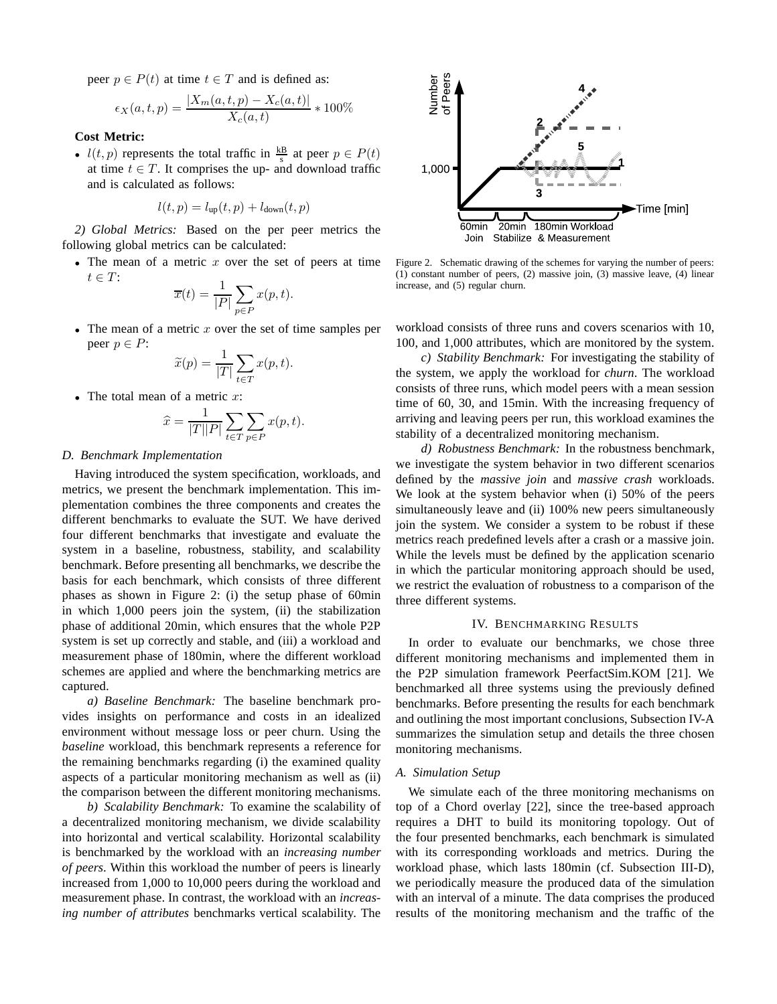peer  $p \in P(t)$  at time  $t \in T$  and is defined as:

$$
\epsilon_X(a, t, p) = \frac{|X_m(a, t, p) - X_c(a, t)|}{X_c(a, t)} * 100\%
$$

#### **Cost Metric:**

•  $l(t, p)$  represents the total traffic in  $\frac{k}{s}$  at peer  $p \in P(t)$ at time  $t \in T$ . It comprises the up- and download traffic and is calculated as follows:

$$
l(t, p) = l_{\text{up}}(t, p) + l_{\text{down}}(t, p)
$$

*2) Global Metrics:* Based on the per peer metrics the following global metrics can be calculated:

• The mean of a metric  $x$  over the set of peers at time  $t \in T$ :

$$
\overline{x}(t) = \frac{1}{|P|} \sum_{p \in P} x(p, t).
$$

• The mean of a metric  $x$  over the set of time samples per peer  $p \in P$ :

$$
\widetilde{x}(p) = \frac{1}{|T|} \sum_{t \in T} x(p, t).
$$

• The total mean of a metric  $x$ :

$$
\widehat{x} = \frac{1}{|T||P|} \sum_{t \in T} \sum_{p \in P} x(p, t).
$$

## *D. Benchmark Implementation*

Having introduced the system specification, workloads, and metrics, we present the benchmark implementation. This implementation combines the three components and creates the different benchmarks to evaluate the SUT. We have derived four different benchmarks that investigate and evaluate the system in a baseline, robustness, stability, and scalability benchmark. Before presenting all benchmarks, we describe the basis for each benchmark, which consists of three different phases as shown in Figure 2: (i) the setup phase of 60min in which 1,000 peers join the system, (ii) the stabilization phase of additional 20min, which ensures that the whole P2P system is set up correctly and stable, and (iii) a workload and measurement phase of 180min, where the different workload schemes are applied and where the benchmarking metrics are captured.

*a) Baseline Benchmark:* The baseline benchmark provides insights on performance and costs in an idealized environment without message loss or peer churn. Using the *baseline* workload, this benchmark represents a reference for the remaining benchmarks regarding (i) the examined quality aspects of a particular monitoring mechanism as well as (ii) the comparison between the different monitoring mechanisms.

*b) Scalability Benchmark:* To examine the scalability of a decentralized monitoring mechanism, we divide scalability into horizontal and vertical scalability. Horizontal scalability is benchmarked by the workload with an *increasing number of peers*. Within this workload the number of peers is linearly increased from 1,000 to 10,000 peers during the workload and measurement phase. In contrast, the workload with an *increasing number of attributes* benchmarks vertical scalability. The



Figure 2. Schematic drawing of the schemes for varying the number of peers: (1) constant number of peers, (2) massive join, (3) massive leave, (4) linear increase, and (5) regular churn.

workload consists of three runs and covers scenarios with 10, 100, and 1,000 attributes, which are monitored by the system.

*c) Stability Benchmark:* For investigating the stability of the system, we apply the workload for *churn*. The workload consists of three runs, which model peers with a mean session time of 60, 30, and 15min. With the increasing frequency of arriving and leaving peers per run, this workload examines the stability of a decentralized monitoring mechanism.

*d) Robustness Benchmark:* In the robustness benchmark, we investigate the system behavior in two different scenarios defined by the *massive join* and *massive crash* workloads. We look at the system behavior when (i) 50% of the peers simultaneously leave and (ii) 100% new peers simultaneously join the system. We consider a system to be robust if these metrics reach predefined levels after a crash or a massive join. While the levels must be defined by the application scenario in which the particular monitoring approach should be used, we restrict the evaluation of robustness to a comparison of the three different systems.

#### IV. BENCHMARKING RESULTS

In order to evaluate our benchmarks, we chose three different monitoring mechanisms and implemented them in the P2P simulation framework PeerfactSim.KOM [21]. We benchmarked all three systems using the previously defined benchmarks. Before presenting the results for each benchmark and outlining the most important conclusions, Subsection IV-A summarizes the simulation setup and details the three chosen monitoring mechanisms.

#### *A. Simulation Setup*

We simulate each of the three monitoring mechanisms on top of a Chord overlay [22], since the tree-based approach requires a DHT to build its monitoring topology. Out of the four presented benchmarks, each benchmark is simulated with its corresponding workloads and metrics. During the workload phase, which lasts 180min (cf. Subsection III-D), we periodically measure the produced data of the simulation with an interval of a minute. The data comprises the produced results of the monitoring mechanism and the traffic of the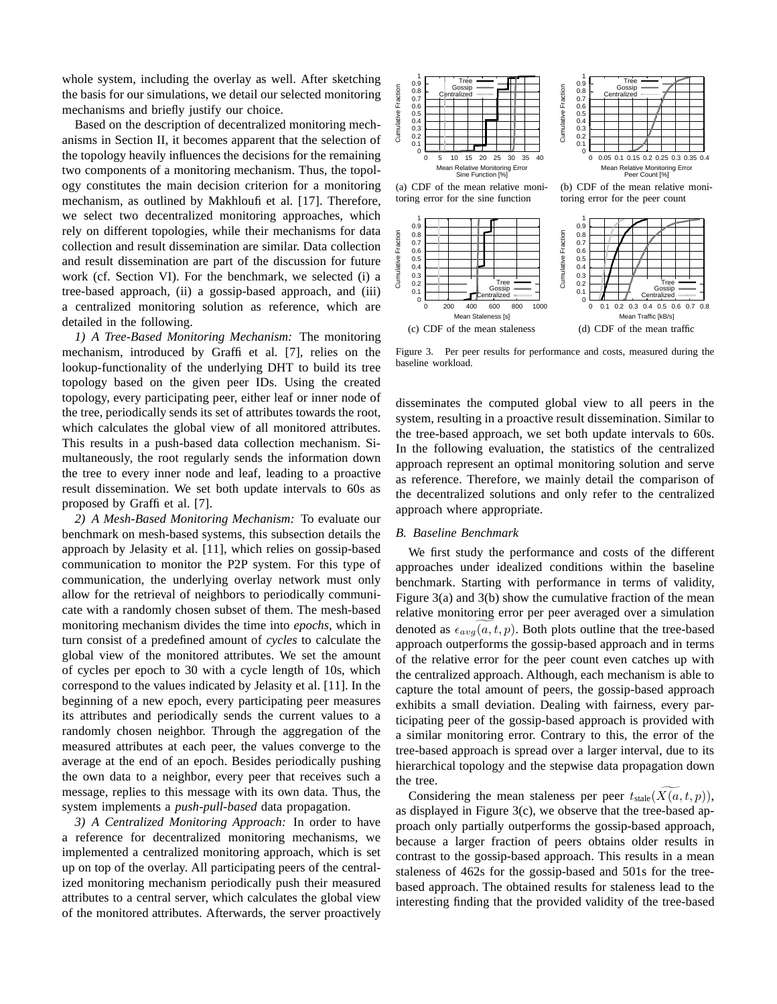whole system, including the overlay as well. After sketching the basis for our simulations, we detail our selected monitoring mechanisms and briefly justify our choice.

Based on the description of decentralized monitoring mechanisms in Section II, it becomes apparent that the selection of the topology heavily influences the decisions for the remaining two components of a monitoring mechanism. Thus, the topology constitutes the main decision criterion for a monitoring mechanism, as outlined by Makhloufi et al. [17]. Therefore, we select two decentralized monitoring approaches, which rely on different topologies, while their mechanisms for data collection and result dissemination are similar. Data collection and result dissemination are part of the discussion for future work (cf. Section VI). For the benchmark, we selected (i) a tree-based approach, (ii) a gossip-based approach, and (iii) a centralized monitoring solution as reference, which are detailed in the following.

*1) A Tree-Based Monitoring Mechanism:* The monitoring mechanism, introduced by Graffi et al. [7], relies on the lookup-functionality of the underlying DHT to build its tree topology based on the given peer IDs. Using the created topology, every participating peer, either leaf or inner node of the tree, periodically sends its set of attributes towards the root, which calculates the global view of all monitored attributes. This results in a push-based data collection mechanism. Simultaneously, the root regularly sends the information down the tree to every inner node and leaf, leading to a proactive result dissemination. We set both update intervals to 60s as proposed by Graffi et al. [7].

*2) A Mesh-Based Monitoring Mechanism:* To evaluate our benchmark on mesh-based systems, this subsection details the approach by Jelasity et al. [11], which relies on gossip-based communication to monitor the P2P system. For this type of communication, the underlying overlay network must only allow for the retrieval of neighbors to periodically communicate with a randomly chosen subset of them. The mesh-based monitoring mechanism divides the time into *epochs*, which in turn consist of a predefined amount of *cycles* to calculate the global view of the monitored attributes. We set the amount of cycles per epoch to 30 with a cycle length of 10s, which correspond to the values indicated by Jelasity et al. [11]. In the beginning of a new epoch, every participating peer measures its attributes and periodically sends the current values to a randomly chosen neighbor. Through the aggregation of the measured attributes at each peer, the values converge to the average at the end of an epoch. Besides periodically pushing the own data to a neighbor, every peer that receives such a message, replies to this message with its own data. Thus, the system implements a *push-pull-based* data propagation.

*3) A Centralized Monitoring Approach:* In order to have a reference for decentralized monitoring mechanisms, we implemented a centralized monitoring approach, which is set up on top of the overlay. All participating peers of the centralized monitoring mechanism periodically push their measured attributes to a central server, which calculates the global view of the monitored attributes. Afterwards, the server proactively



Figure 3. Per peer results for performance and costs, measured during the baseline workload.

disseminates the computed global view to all peers in the system, resulting in a proactive result dissemination. Similar to the tree-based approach, we set both update intervals to 60s. In the following evaluation, the statistics of the centralized approach represent an optimal monitoring solution and serve as reference. Therefore, we mainly detail the comparison of the decentralized solutions and only refer to the centralized approach where appropriate.

# *B. Baseline Benchmark*

We first study the performance and costs of the different approaches under idealized conditions within the baseline benchmark. Starting with performance in terms of validity, Figure 3(a) and 3(b) show the cumulative fraction of the mean relative monitoring error per peer averaged over a simulation denoted as  $\epsilon_{avg}(a, t, p)$ . Both plots outline that the tree-based approach outperforms the gossip-based approach and in terms of the relative error for the peer count even catches up with the centralized approach. Although, each mechanism is able to capture the total amount of peers, the gossip-based approach exhibits a small deviation. Dealing with fairness, every participating peer of the gossip-based approach is provided with a similar monitoring error. Contrary to this, the error of the tree-based approach is spread over a larger interval, due to its hierarchical topology and the stepwise data propagation down the tree.

Considering the mean staleness per peer  $t_{\text{stable}}(X(a, t, p)),$ as displayed in Figure 3(c), we observe that the tree-based approach only partially outperforms the gossip-based approach, because a larger fraction of peers obtains older results in contrast to the gossip-based approach. This results in a mean staleness of 462s for the gossip-based and 501s for the treebased approach. The obtained results for staleness lead to the interesting finding that the provided validity of the tree-based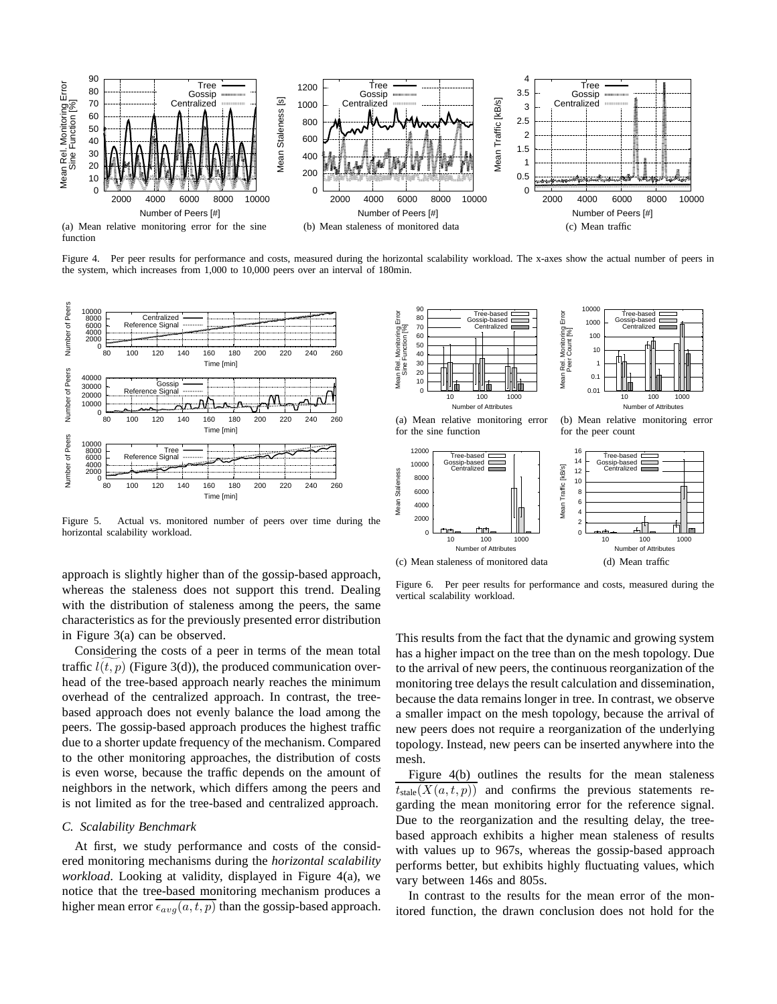

Figure 4. Per peer results for performance and costs, measured during the horizontal scalability workload. The x-axes show the actual number of peers in the system, which increases from 1,000 to 10,000 peers over an interval of 180min.



Figure 5. Actual vs. monitored number of peers over time during the horizontal scalability workload.

approach is slightly higher than of the gossip-based approach, whereas the staleness does not support this trend. Dealing with the distribution of staleness among the peers, the same characteristics as for the previously presented error distribution in Figure 3(a) can be observed.

Considering the costs of a peer in terms of the mean total traffic  $l(t, p)$  (Figure 3(d)), the produced communication overhead of the tree-based approach nearly reaches the minimum overhead of the centralized approach. In contrast, the treebased approach does not evenly balance the load among the peers. The gossip-based approach produces the highest traffic due to a shorter update frequency of the mechanism. Compared to the other monitoring approaches, the distribution of costs is even worse, because the traffic depends on the amount of neighbors in the network, which differs among the peers and is not limited as for the tree-based and centralized approach.

#### *C. Scalability Benchmark*

At first, we study performance and costs of the considered monitoring mechanisms during the *horizontal scalability workload*. Looking at validity, displayed in Figure 4(a), we notice that the tree-based monitoring mechanism produces a higher mean error  $\epsilon_{avg}(a, t, p)$  than the gossip-based approach.



Figure 6. Per peer results for performance and costs, measured during the vertical scalability workload.

This results from the fact that the dynamic and growing system has a higher impact on the tree than on the mesh topology. Due to the arrival of new peers, the continuous reorganization of the monitoring tree delays the result calculation and dissemination, because the data remains longer in tree. In contrast, we observe a smaller impact on the mesh topology, because the arrival of new peers does not require a reorganization of the underlying topology. Instead, new peers can be inserted anywhere into the mesh.

Figure 4(b) outlines the results for the mean staleness  $t_{\text{stable}}(X(a, t, p))$  and confirms the previous statements regarding the mean monitoring error for the reference signal. Due to the reorganization and the resulting delay, the treebased approach exhibits a higher mean staleness of results with values up to 967s, whereas the gossip-based approach performs better, but exhibits highly fluctuating values, which vary between 146s and 805s.

In contrast to the results for the mean error of the monitored function, the drawn conclusion does not hold for the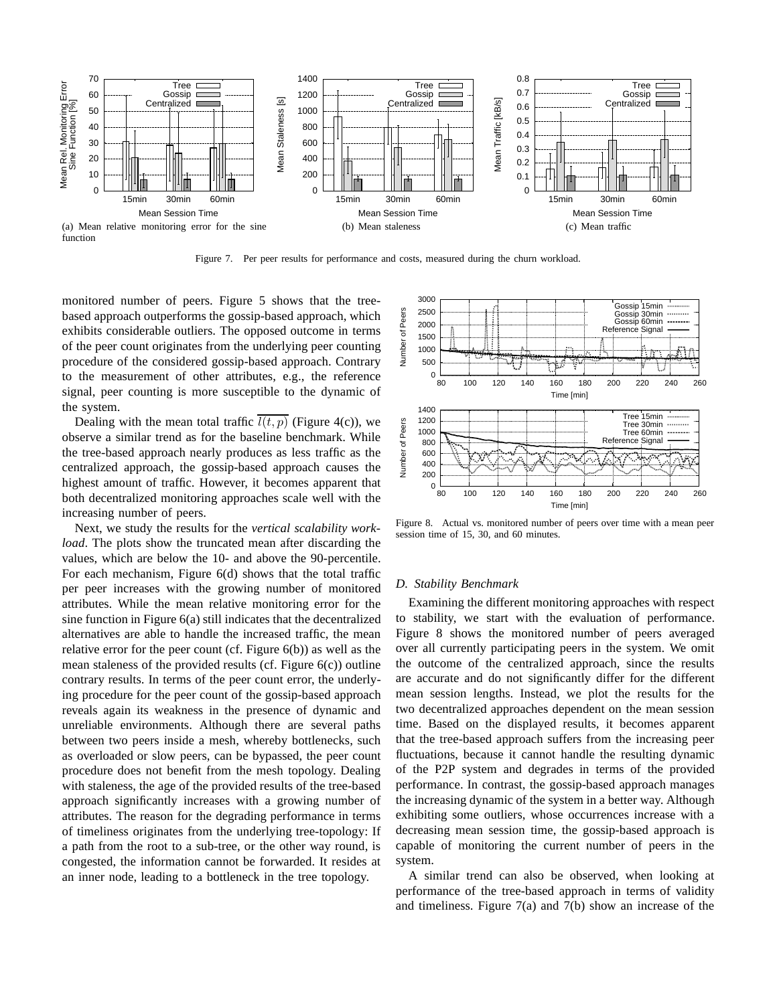

Figure 7. Per peer results for performance and costs, measured during the churn workload.

monitored number of peers. Figure 5 shows that the treebased approach outperforms the gossip-based approach, which exhibits considerable outliers. The opposed outcome in terms of the peer count originates from the underlying peer counting procedure of the considered gossip-based approach. Contrary to the measurement of other attributes, e.g., the reference signal, peer counting is more susceptible to the dynamic of the system.

Dealing with the mean total traffic  $l(t, p)$  (Figure 4(c)), we observe a similar trend as for the baseline benchmark. While the tree-based approach nearly produces as less traffic as the centralized approach, the gossip-based approach causes the highest amount of traffic. However, it becomes apparent that both decentralized monitoring approaches scale well with the increasing number of peers.

Next, we study the results for the *vertical scalability workload*. The plots show the truncated mean after discarding the values, which are below the 10- and above the 90-percentile. For each mechanism, Figure 6(d) shows that the total traffic per peer increases with the growing number of monitored attributes. While the mean relative monitoring error for the sine function in Figure 6(a) still indicates that the decentralized alternatives are able to handle the increased traffic, the mean relative error for the peer count (cf. Figure 6(b)) as well as the mean staleness of the provided results (cf. Figure 6(c)) outline contrary results. In terms of the peer count error, the underlying procedure for the peer count of the gossip-based approach reveals again its weakness in the presence of dynamic and unreliable environments. Although there are several paths between two peers inside a mesh, whereby bottlenecks, such as overloaded or slow peers, can be bypassed, the peer count procedure does not benefit from the mesh topology. Dealing with staleness, the age of the provided results of the tree-based approach significantly increases with a growing number of attributes. The reason for the degrading performance in terms of timeliness originates from the underlying tree-topology: If a path from the root to a sub-tree, or the other way round, is congested, the information cannot be forwarded. It resides at an inner node, leading to a bottleneck in the tree topology.



Figure 8. Actual vs. monitored number of peers over time with a mean peer session time of 15, 30, and 60 minutes.

# *D. Stability Benchmark*

Examining the different monitoring approaches with respect to stability, we start with the evaluation of performance. Figure 8 shows the monitored number of peers averaged over all currently participating peers in the system. We omit the outcome of the centralized approach, since the results are accurate and do not significantly differ for the different mean session lengths. Instead, we plot the results for the two decentralized approaches dependent on the mean session time. Based on the displayed results, it becomes apparent that the tree-based approach suffers from the increasing peer fluctuations, because it cannot handle the resulting dynamic of the P2P system and degrades in terms of the provided performance. In contrast, the gossip-based approach manages the increasing dynamic of the system in a better way. Although exhibiting some outliers, whose occurrences increase with a decreasing mean session time, the gossip-based approach is capable of monitoring the current number of peers in the system.

A similar trend can also be observed, when looking at performance of the tree-based approach in terms of validity and timeliness. Figure 7(a) and 7(b) show an increase of the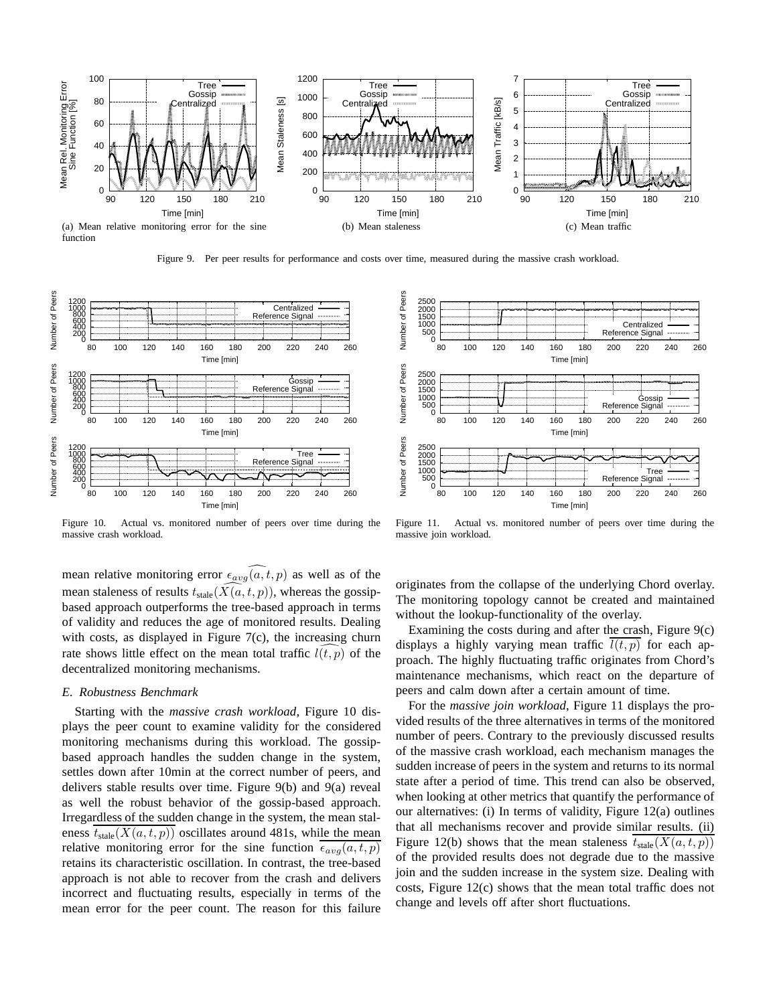

Figure 9. Per peer results for performance and costs over time, measured during the massive crash workload.



Figure 10. Actual vs. monitored number of peers over time during the massive crash workload.

mean relative monitoring error  $\epsilon_{avg}(a, t, p)$  as well as of the mean staleness of results  $t_{\text{stable}}(X(a, t, p))$ , whereas the gossipbased approach outperforms the tree-based approach in terms of validity and reduces the age of monitored results. Dealing with costs, as displayed in Figure  $7(c)$ , the increasing churn rate shows little effect on the mean total traffic  $l(t, p)$  of the decentralized monitoring mechanisms.

## *E. Robustness Benchmark*

Starting with the *massive crash workload*, Figure 10 displays the peer count to examine validity for the considered monitoring mechanisms during this workload. The gossipbased approach handles the sudden change in the system, settles down after 10min at the correct number of peers, and delivers stable results over time. Figure 9(b) and 9(a) reveal as well the robust behavior of the gossip-based approach. Irregardless of the sudden change in the system, the mean staleness  $t_{\text{stable}}(X(a, t, p))$  oscillates around 481s, while the mean relative monitoring error for the sine function  $\epsilon_{avg}(a, t, p)$ retains its characteristic oscillation. In contrast, the tree-based approach is not able to recover from the crash and delivers incorrect and fluctuating results, especially in terms of the mean error for the peer count. The reason for this failure



Figure 11. Actual vs. monitored number of peers over time during the massive join workload

originates from the collapse of the underlying Chord overlay. The monitoring topology cannot be created and maintained without the lookup-functionality of the overlay.

Examining the costs during and after the crash, Figure 9(c) displays a highly varying mean traffic  $l(t, p)$  for each approach. The highly fluctuating traffic originates from Chord's maintenance mechanisms, which react on the departure of peers and calm down after a certain amount of time.

For the *massive join workload*, Figure 11 displays the provided results of the three alternatives in terms of the monitored number of peers. Contrary to the previously discussed results of the massive crash workload, each mechanism manages the sudden increase of peers in the system and returns to its normal state after a period of time. This trend can also be observed, when looking at other metrics that quantify the performance of our alternatives: (i) In terms of validity, Figure 12(a) outlines that all mechanisms recover and provide similar results. (ii) Figure 12(b) shows that the mean staleness  $t_{\text{stable}}(X(a, t, p))$ of the provided results does not degrade due to the massive join and the sudden increase in the system size. Dealing with costs, Figure 12(c) shows that the mean total traffic does not change and levels off after short fluctuations.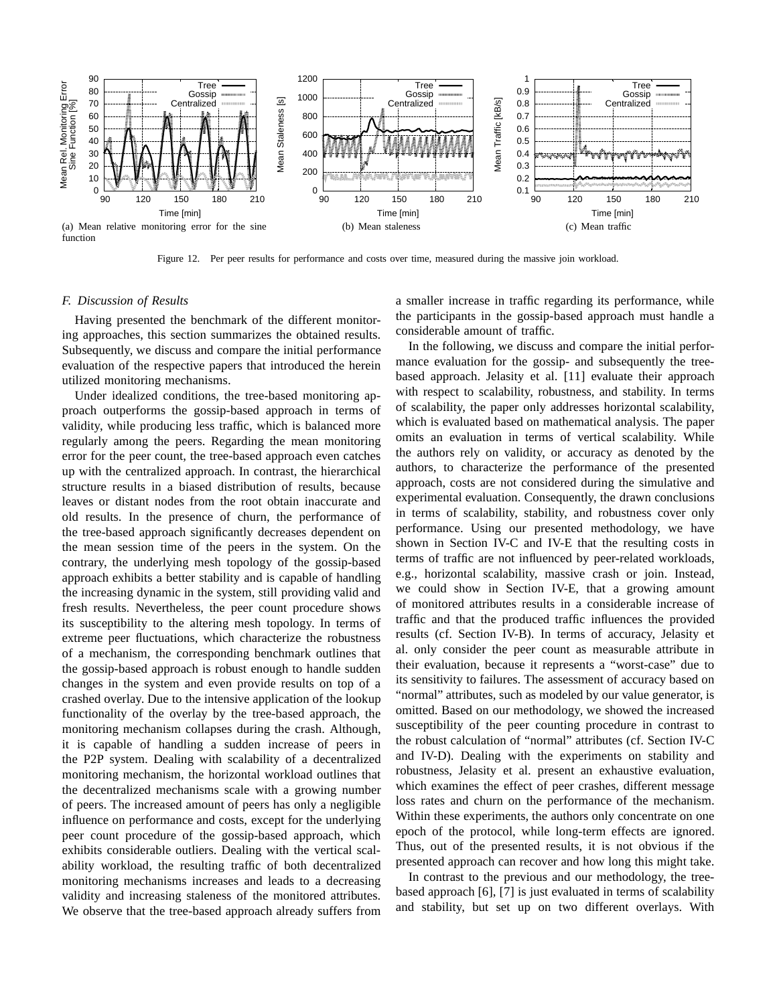

Figure 12. Per peer results for performance and costs over time, measured during the massive join workload.

#### *F. Discussion of Results*

Having presented the benchmark of the different monitoring approaches, this section summarizes the obtained results. Subsequently, we discuss and compare the initial performance evaluation of the respective papers that introduced the herein utilized monitoring mechanisms.

Under idealized conditions, the tree-based monitoring approach outperforms the gossip-based approach in terms of validity, while producing less traffic, which is balanced more regularly among the peers. Regarding the mean monitoring error for the peer count, the tree-based approach even catches up with the centralized approach. In contrast, the hierarchical structure results in a biased distribution of results, because leaves or distant nodes from the root obtain inaccurate and old results. In the presence of churn, the performance of the tree-based approach significantly decreases dependent on the mean session time of the peers in the system. On the contrary, the underlying mesh topology of the gossip-based approach exhibits a better stability and is capable of handling the increasing dynamic in the system, still providing valid and fresh results. Nevertheless, the peer count procedure shows its susceptibility to the altering mesh topology. In terms of extreme peer fluctuations, which characterize the robustness of a mechanism, the corresponding benchmark outlines that the gossip-based approach is robust enough to handle sudden changes in the system and even provide results on top of a crashed overlay. Due to the intensive application of the lookup functionality of the overlay by the tree-based approach, the monitoring mechanism collapses during the crash. Although, it is capable of handling a sudden increase of peers in the P2P system. Dealing with scalability of a decentralized monitoring mechanism, the horizontal workload outlines that the decentralized mechanisms scale with a growing number of peers. The increased amount of peers has only a negligible influence on performance and costs, except for the underlying peer count procedure of the gossip-based approach, which exhibits considerable outliers. Dealing with the vertical scalability workload, the resulting traffic of both decentralized monitoring mechanisms increases and leads to a decreasing validity and increasing staleness of the monitored attributes. We observe that the tree-based approach already suffers from

a smaller increase in traffic regarding its performance, while the participants in the gossip-based approach must handle a considerable amount of traffic.

In the following, we discuss and compare the initial performance evaluation for the gossip- and subsequently the treebased approach. Jelasity et al. [11] evaluate their approach with respect to scalability, robustness, and stability. In terms of scalability, the paper only addresses horizontal scalability, which is evaluated based on mathematical analysis. The paper omits an evaluation in terms of vertical scalability. While the authors rely on validity, or accuracy as denoted by the authors, to characterize the performance of the presented approach, costs are not considered during the simulative and experimental evaluation. Consequently, the drawn conclusions in terms of scalability, stability, and robustness cover only performance. Using our presented methodology, we have shown in Section IV-C and IV-E that the resulting costs in terms of traffic are not influenced by peer-related workloads, e.g., horizontal scalability, massive crash or join. Instead, we could show in Section IV-E, that a growing amount of monitored attributes results in a considerable increase of traffic and that the produced traffic influences the provided results (cf. Section IV-B). In terms of accuracy, Jelasity et al. only consider the peer count as measurable attribute in their evaluation, because it represents a "worst-case" due to its sensitivity to failures. The assessment of accuracy based on "normal" attributes, such as modeled by our value generator, is omitted. Based on our methodology, we showed the increased susceptibility of the peer counting procedure in contrast to the robust calculation of "normal" attributes (cf. Section IV-C and IV-D). Dealing with the experiments on stability and robustness, Jelasity et al. present an exhaustive evaluation, which examines the effect of peer crashes, different message loss rates and churn on the performance of the mechanism. Within these experiments, the authors only concentrate on one epoch of the protocol, while long-term effects are ignored. Thus, out of the presented results, it is not obvious if the presented approach can recover and how long this might take.

In contrast to the previous and our methodology, the treebased approach [6], [7] is just evaluated in terms of scalability and stability, but set up on two different overlays. With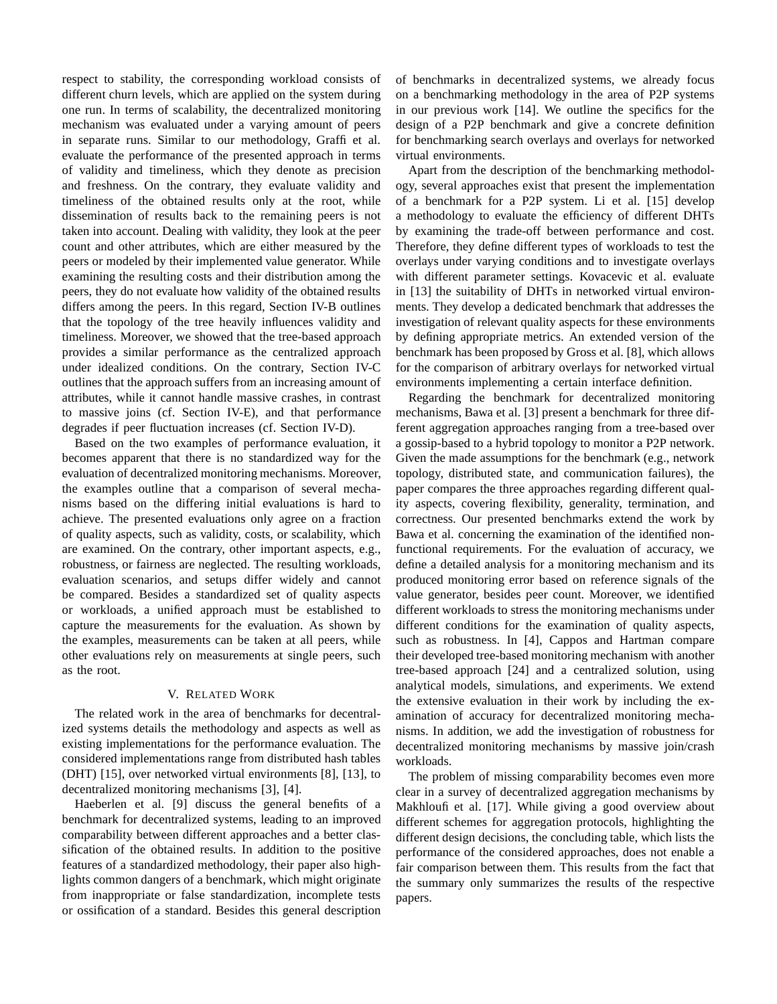respect to stability, the corresponding workload consists of different churn levels, which are applied on the system during one run. In terms of scalability, the decentralized monitoring mechanism was evaluated under a varying amount of peers in separate runs. Similar to our methodology, Graffi et al. evaluate the performance of the presented approach in terms of validity and timeliness, which they denote as precision and freshness. On the contrary, they evaluate validity and timeliness of the obtained results only at the root, while dissemination of results back to the remaining peers is not taken into account. Dealing with validity, they look at the peer count and other attributes, which are either measured by the peers or modeled by their implemented value generator. While examining the resulting costs and their distribution among the peers, they do not evaluate how validity of the obtained results differs among the peers. In this regard, Section IV-B outlines that the topology of the tree heavily influences validity and timeliness. Moreover, we showed that the tree-based approach provides a similar performance as the centralized approach under idealized conditions. On the contrary, Section IV-C outlines that the approach suffers from an increasing amount of attributes, while it cannot handle massive crashes, in contrast to massive joins (cf. Section IV-E), and that performance degrades if peer fluctuation increases (cf. Section IV-D).

Based on the two examples of performance evaluation, it becomes apparent that there is no standardized way for the evaluation of decentralized monitoring mechanisms. Moreover, the examples outline that a comparison of several mechanisms based on the differing initial evaluations is hard to achieve. The presented evaluations only agree on a fraction of quality aspects, such as validity, costs, or scalability, which are examined. On the contrary, other important aspects, e.g., robustness, or fairness are neglected. The resulting workloads, evaluation scenarios, and setups differ widely and cannot be compared. Besides a standardized set of quality aspects or workloads, a unified approach must be established to capture the measurements for the evaluation. As shown by the examples, measurements can be taken at all peers, while other evaluations rely on measurements at single peers, such as the root.

## V. RELATED WORK

The related work in the area of benchmarks for decentralized systems details the methodology and aspects as well as existing implementations for the performance evaluation. The considered implementations range from distributed hash tables (DHT) [15], over networked virtual environments [8], [13], to decentralized monitoring mechanisms [3], [4].

Haeberlen et al. [9] discuss the general benefits of a benchmark for decentralized systems, leading to an improved comparability between different approaches and a better classification of the obtained results. In addition to the positive features of a standardized methodology, their paper also highlights common dangers of a benchmark, which might originate from inappropriate or false standardization, incomplete tests or ossification of a standard. Besides this general description of benchmarks in decentralized systems, we already focus on a benchmarking methodology in the area of P2P systems in our previous work [14]. We outline the specifics for the design of a P2P benchmark and give a concrete definition for benchmarking search overlays and overlays for networked virtual environments.

Apart from the description of the benchmarking methodology, several approaches exist that present the implementation of a benchmark for a P2P system. Li et al. [15] develop a methodology to evaluate the efficiency of different DHTs by examining the trade-off between performance and cost. Therefore, they define different types of workloads to test the overlays under varying conditions and to investigate overlays with different parameter settings. Kovacevic et al. evaluate in [13] the suitability of DHTs in networked virtual environments. They develop a dedicated benchmark that addresses the investigation of relevant quality aspects for these environments by defining appropriate metrics. An extended version of the benchmark has been proposed by Gross et al. [8], which allows for the comparison of arbitrary overlays for networked virtual environments implementing a certain interface definition.

Regarding the benchmark for decentralized monitoring mechanisms, Bawa et al. [3] present a benchmark for three different aggregation approaches ranging from a tree-based over a gossip-based to a hybrid topology to monitor a P2P network. Given the made assumptions for the benchmark (e.g., network topology, distributed state, and communication failures), the paper compares the three approaches regarding different quality aspects, covering flexibility, generality, termination, and correctness. Our presented benchmarks extend the work by Bawa et al. concerning the examination of the identified nonfunctional requirements. For the evaluation of accuracy, we define a detailed analysis for a monitoring mechanism and its produced monitoring error based on reference signals of the value generator, besides peer count. Moreover, we identified different workloads to stress the monitoring mechanisms under different conditions for the examination of quality aspects, such as robustness. In [4], Cappos and Hartman compare their developed tree-based monitoring mechanism with another tree-based approach [24] and a centralized solution, using analytical models, simulations, and experiments. We extend the extensive evaluation in their work by including the examination of accuracy for decentralized monitoring mechanisms. In addition, we add the investigation of robustness for decentralized monitoring mechanisms by massive join/crash workloads.

The problem of missing comparability becomes even more clear in a survey of decentralized aggregation mechanisms by Makhloufi et al. [17]. While giving a good overview about different schemes for aggregation protocols, highlighting the different design decisions, the concluding table, which lists the performance of the considered approaches, does not enable a fair comparison between them. This results from the fact that the summary only summarizes the results of the respective papers.